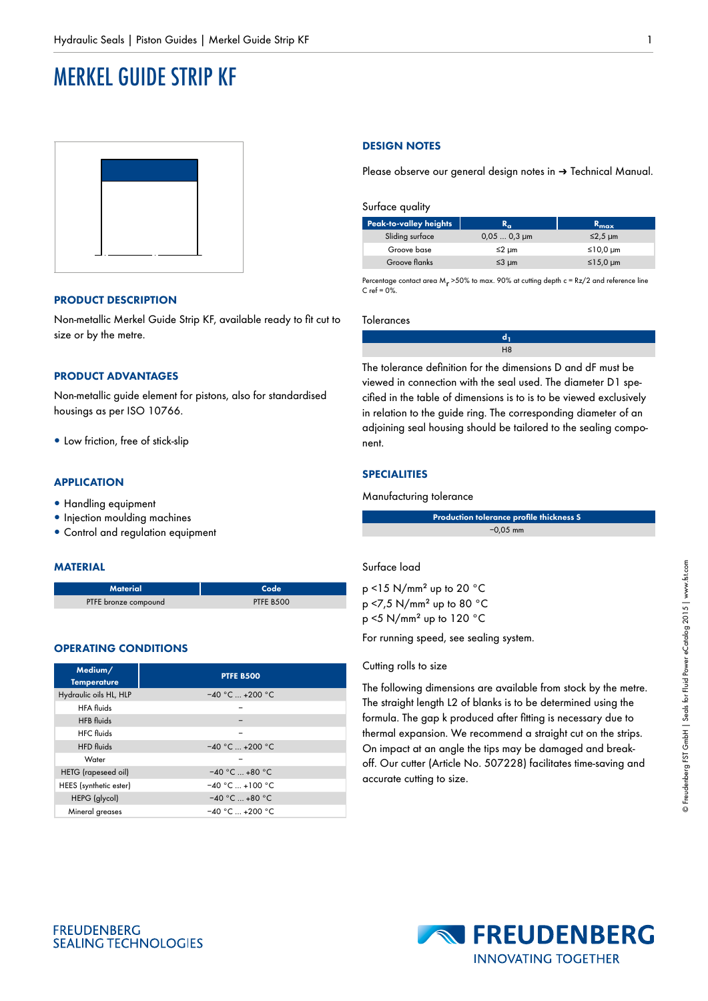# MERKEL GUIDE STRIP KF



## **PRODUCT DESCRIPTION**

Non-metallic Merkel Guide Strip KF, available ready to fit cut to size or by the metre.

## **PRODUCT ADVANTAGES**

Non-metallic guide element for pistons, also for standardised housings as per ISO 10766.

• Low friction, free of stick-slip

## **APPLICATION**

- Handling equipment
- Injection moulding machines
- Control and regulation equipment

## **MATERIAL**

| <b>Material</b>      | Code      |
|----------------------|-----------|
| PTFE bronze compound | PTFE B500 |

## **OPERATING CONDITIONS**

**FREUDENBERG** 

| Medium/<br><b>Temperature</b> | <b>PTFE B500</b>          |  |
|-------------------------------|---------------------------|--|
| Hydraulic oils HL, HLP        | $-40 °C_{\dots} + 200 °C$ |  |
| <b>HFA</b> fluids             |                           |  |
| <b>HFB</b> fluids             |                           |  |
| <b>HFC</b> fluids             |                           |  |
| <b>HFD</b> fluids             | $-40 °C_{\dots} + 200 °C$ |  |
| Water                         |                           |  |
| HETG (rapeseed oil)           | $-40 °C  +80 °C$          |  |
| HEES (synthetic ester)        | $-40 °C  +100 °C$         |  |
| HEPG (glycol)                 | $-40 °C  +80 °C$          |  |
| Mineral greases               | $-40 °C_{\dots} + 200 °C$ |  |

## **DESIGN NOTES**

Please observe our general design notes in → Technical Manual.

Surface quality

| $R_{\alpha}$    | $R_{\text{max}}$ |
|-----------------|------------------|
| $0,050,3 \mu m$ | $≤2,5 \mu m$     |
| $≤2$ µm         | ≤10,0 $µm$       |
| $≤3 \mu m$      | ≤15,0 $µm$       |
|                 |                  |

Percentage contact area M<sub>r</sub> >50% to max. 90% at cutting depth  $c = Rz/2$  and reference line  $C$  ref =  $0\%$ 

#### Tolerances

| H <sub>8</sub> |
|----------------|
|                |

The tolerance definition for the dimensions D and dF must be viewed in connection with the seal used. The diameter D1 specified in the table of dimensions is to is to be viewed exclusively in relation to the guide ring. The corresponding diameter of an adjoining seal housing should be tailored to the sealing component.

## **SPECIALITIES**

#### Manufacturing tolerance

| Production tolerance profile thickness S |  |
|------------------------------------------|--|
| $-0.05$ mm                               |  |

## Surface load

 $p$  <15 N/mm<sup>2</sup> up to 20  $^{\circ}$ C p <7,5 N/mm² up to 80 °C p <5 N/mm² up to 120 °C

For running speed, see sealing system.

#### Cutting rolls to size

The following dimensions are available from stock by the metre. The straight length L2 of blanks is to be determined using the formula. The gap k produced after fitting is necessary due to thermal expansion. We recommend a straight cut on the strips. On impact at an angle the tips may be damaged and breakoff. Our cutter (Article No. 507228) facilitates time-saving and accurate cutting to size.